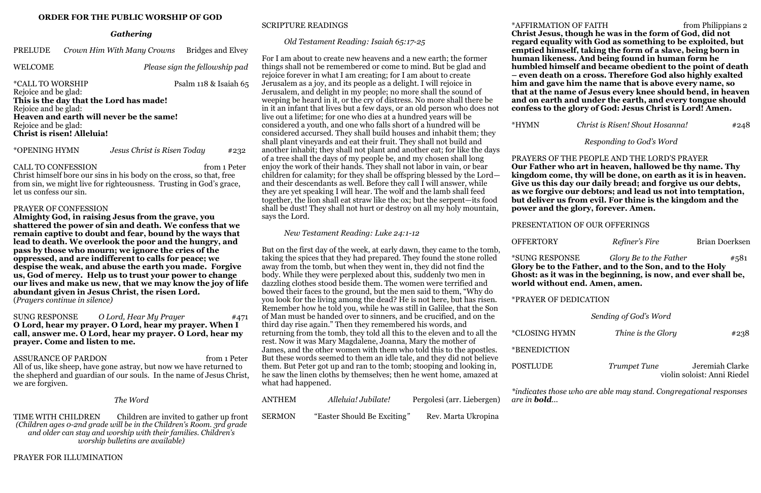### **ORDER FOR THE PUBLIC WORSHIP OF GOD**

### *Gathering*

| PRELUDE |  | Crown Him With Many Crowns |  | Bridges and Elvey |
|---------|--|----------------------------|--|-------------------|
|---------|--|----------------------------|--|-------------------|

WELCOME *Please sign the fellowship pad* 

| *CALL TO WORSHIP                         | Psalm 118 & Isaiah 65 |
|------------------------------------------|-----------------------|
| Rejoice and be glad:                     |                       |
| This is the day that the Lord has made!  |                       |
| Rejoice and be glad:                     |                       |
| Heaven and earth will never be the same! |                       |
| Rejoice and be glad:                     |                       |
| <b>Christ is risen! Alleluia!</b>        |                       |
|                                          |                       |

\*OPENING HYMN *Jesus Christ is Risen Today* #232

CALL TO CONFESSION from 1 Peter

Christ himself bore our sins in his body on the cross, so that, free from sin, we might live for righteousness. Trusting in God's grace, let us confess our sin.

### PRAYER OF CONFESSION

ASSURANCE OF PARDON from 1 Peter All of us, like sheep, have gone astray, but now we have returned to the shepherd and guardian of our souls. In the name of Jesus Christ, we are forgiven.

**Almighty God, in raising Jesus from the grave, you shattered the power of sin and death. We confess that we remain captive to doubt and fear, bound by the ways that lead to death. We overlook the poor and the hungry, and pass by those who mourn; we ignore the cries of the oppressed, and are indifferent to calls for peace; we despise the weak, and abuse the earth you made. Forgive us, God of mercy. Help us to trust your power to change our lives and make us new, that we may know the joy of life abundant given in Jesus Christ, the risen Lord.** (*Prayers continue in silence)*

SUNG RESPONSE *O Lord, Hear My Prayer* #471 **O Lord, hear my prayer. O Lord, hear my prayer. When I call, answer me. O Lord, hear my prayer. O Lord, hear my prayer. Come and listen to me.** 

### *The Word*

TIME WITH CHILDREN Children are invited to gather up front *(Children ages 0-2nd grade will be in the Children's Room. 3rd grade and older can stay and worship with their families. Children's worship bulletins are available)* 

# PRAYER FOR ILLUMINATION

### SCRIPTURE READINGS

### *Old Testament Reading: Isaiah 65:17-25*

### \*AFFIRMATION OF FAITH from Philippians 2 **Christ Jesus, though he was in the form of God, did not regard equality with God as something to be exploited, but emptied himself, taking the form of a slave, being born in human likeness. And being found in human form he humbled himself and became obedient to the point of death – even death on a cross. Therefore God also highly exalted him and gave him the name that is above every name, so that at the name of Jesus every knee should bend, in heaven and on earth and under the earth, and every tongue should confess to the glory of God: Jesus Christ is Lord! Amen.**

For I am about to create new heavens and a new earth; the former things shall not be remembered or come to mind. But be glad and rejoice forever in what I am creating; for I am about to create Jerusalem as a joy, and its people as a delight. I will rejoice in Jerusalem, and delight in my people; no more shall the sound of weeping be heard in it, or the cry of distress. No more shall there be in it an infant that lives but a few days, or an old person who does not live out a lifetime; for one who dies at a hundred years will be considered a youth, and one who falls short of a hundred will be considered accursed. They shall build houses and inhabit them; they shall plant vineyards and eat their fruit. They shall not build and another inhabit; they shall not plant and another eat; for like the days of a tree shall the days of my people be, and my chosen shall long enjoy the work of their hands. They shall not labor in vain, or bear children for calamity; for they shall be offspring blessed by the Lord and their descendants as well. Before they call I will answer, while they are yet speaking I will hear. The wolf and the lamb shall feed together, the lion shall eat straw like the ox; but the serpent—its food shall be dust! They shall not hurt or destroy on all my holy mountain, says the Lord.

### *New Testament Reading: Luke 24:1-12*

But on the first day of the week, at early dawn, they came to the tomb, taking the spices that they had prepared. They found the stone rolled away from the tomb, but when they went in, they did not find the body. While they were perplexed about this, suddenly two men in dazzling clothes stood beside them. The women were terrified and bowed their faces to the ground, but the men said to them, "Why do you look for the living among the dead? He is not here, but has risen. Remember how he told you, while he was still in Galilee, that the Son of Man must be handed over to sinners, and be crucified, and on the third day rise again." Then they remembered his words, and returning from the tomb, they told all this to the eleven and to all the rest. Now it was Mary Magdalene, Joanna, Mary the mother of James, and the other women with them who told this to the apostles. But these words seemed to them an idle tale, and they did not believe them. But Peter got up and ran to the tomb; stooping and looking in, he saw the linen cloths by themselves; then he went home, amazed at what had happened.

| <b>ANTHEM</b> | Alleluia! Jubilate!         | Pergolesi (arr. Liebergen) |
|---------------|-----------------------------|----------------------------|
| <b>SERMON</b> | "Easter Should Be Exciting" | Rev. Marta Ukropina        |

| *HYMN<br>Christ is Risen! Shout Hosanna!<br>#248 |
|--------------------------------------------------|
|--------------------------------------------------|

*Responding to God's Word* PRAYERS OF THE PEOPLE AND THE LORD'S PRAYER **Our Father who art in heaven, hallowed be thy name. Thy kingdom come, thy will be done, on earth as it is in heaven. Give us this day our daily bread; and forgive us our debts, as we forgive our debtors; and lead us not into temptation, but deliver us from evil. For thine is the kingdom and the power and the glory, forever. Amen.**

PRESENTATION OF OUR OFFERINGS

**OFFERTORY** *Refiner's Fire* Brian Doerksen

\*SUNG RESPONSE *Glory Be to the Father* #581 **Glory be to the Father, and to the Son, and to the Holy Ghost: as it was in the beginning, is now, and ever shall be, world without end. Amen, amen.**

\*PRAYER OF DEDICATION

*Sending of God's Word*

\*CLOSING HYMN *Thine is the Glory* #238

\*BENEDICTION

POSTLUDE *Trumpet Tune* Jeremiah Clarke violin soloist: Anni Riedel

*\*indicates those who are able may stand. Congregational responses* 

*are in bold...*